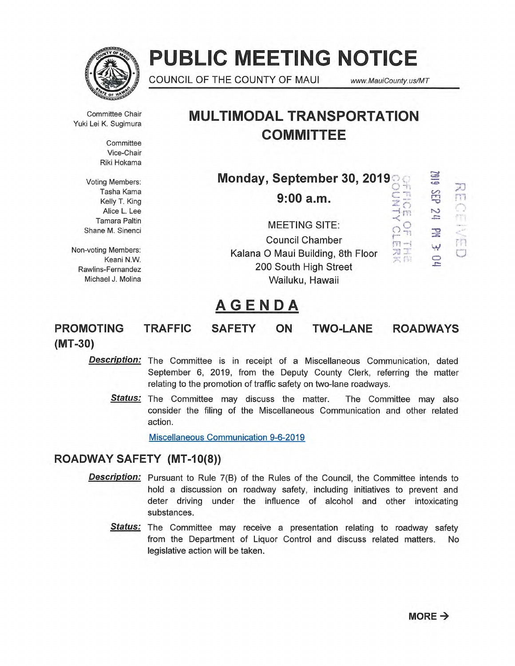

# **PUBLIC MEETING NOTICE**

**Ito** COUNCIL OF THE COUNTY OF MAUI www.MauiCounty.us/MT

Committee Chair Yuki Lei K. Sugimura

> **Committee** Vice-Chair Riki Hokama

Voting Members: Tasha Kama Kelly T. King Alice L. Lee Tamara Paltin Shane M. Sinenci

Non-voting Members: Keani N.W. Rawlins-Fernandez Michael J. Molina

# **MULTIMODAL TRANSPORTATION COMMITTEE**

| Monday, September 30, 2019                                 |      |  |
|------------------------------------------------------------|------|--|
| 9:00a.m.                                                   | N    |  |
| <b>MEETING SITE:</b><br><b>Council Chamber</b>             | P    |  |
| Kalana O Maui Building, 8th Floor<br>200 South High Street | لبدا |  |
| Wailuku, Hawaii                                            |      |  |

# **AGENDA**

**PROMOTING TRAFFIC SAFETY ON TWO-LANE ROADWAYS (MT-30)** 

**Description:** The Committee is in receipt of a Miscellaneous Communication, dated September 6, 2019, from the Deputy County Clerk, referring the matter relating to the promotion of traffic safety on two-lane roadways.

**Status:** The Committee may discuss the matter. The Committee may also consider the filing of the Miscellaneous Communication and other related action.

Miscellaneous Communication 9-6-2019

# **ROADWAY SAFETY (MT-10(8))**

- **Description:** Pursuant to Rule 7(B) of the Rules of the Council, the Committee intends to hold a discussion on roadway safety, including initiatives to prevent and deter driving under the influence of alcohol and other intoxicating substances.
	- **Status:** The Committee may receive a presentation relating to roadway safety from the Department of Liquor Control and discuss related matters. No legislative action will be taken.